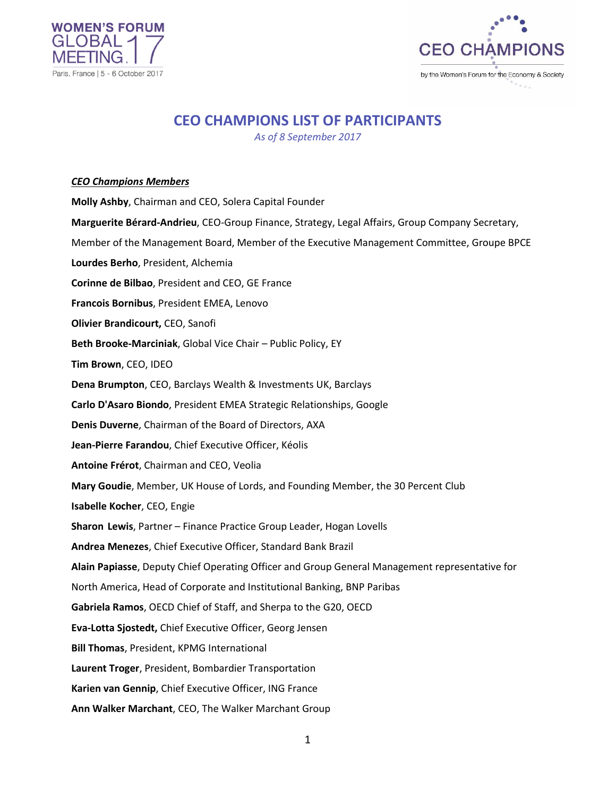



# **CEO CHAMPIONS LIST OF PARTICIPANTS**

*As of 8 September 2017*

### *CEO Champions Members*

**Molly Ashby**, Chairman and CEO, Solera Capital Founder **Marguerite Bérard-Andrieu**, CEO-Group Finance, Strategy, Legal Affairs, Group Company Secretary, Member of the Management Board, Member of the Executive Management Committee, Groupe BPCE **Lourdes Berho**, President, Alchemia **Corinne de Bilbao**, President and CEO, GE France **Francois Bornibus**, President EMEA, Lenovo **Olivier Brandicourt,** CEO, Sanofi **Beth Brooke-Marciniak**, Global Vice Chair – Public Policy, EY **Tim Brown**, CEO, IDEO **Dena Brumpton**, CEO, Barclays Wealth & Investments UK, Barclays **Carlo D'Asaro Biondo**, President EMEA Strategic Relationships, Google **Denis Duverne**, Chairman of the Board of Directors, AXA **Jean-Pierre Farandou**, Chief Executive Officer, Kéolis **Antoine Frérot**, Chairman and CEO, Veolia **Mary Goudie**, Member, UK House of Lords, and Founding Member, the 30 Percent Club **Isabelle Kocher**, CEO, Engie **Sharon Lewis**, Partner – Finance Practice Group Leader, Hogan Lovells **Andrea Menezes**, Chief Executive Officer, Standard Bank Brazil **Alain Papiasse**, Deputy Chief Operating Officer and Group General Management representative for North America, Head of Corporate and Institutional Banking, BNP Paribas **Gabriela Ramos**, OECD Chief of Staff, and Sherpa to the G20, OECD **Eva-Lotta Sjostedt,** Chief Executive Officer, Georg Jensen **Bill Thomas**, President, KPMG International **Laurent Troger**, President, Bombardier Transportation **Karien van Gennip**, Chief Executive Officer, ING France **Ann Walker Marchant**, CEO, The Walker Marchant Group